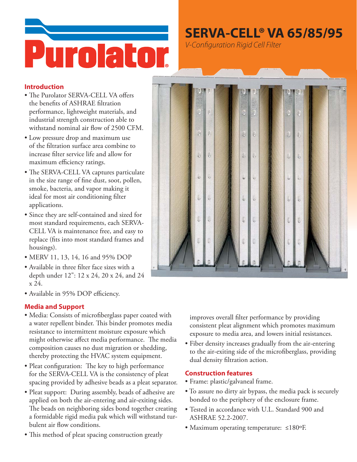

## **SERVA-CELL<sup>®</sup> VA 65/85/95**

V-Configuration Rigid Cell Filter

#### **Introduction**

- The Purolator SERVA-CELL VA offers the benefits of ASHRAE filtration performance, lightweight materials, and industrial strength construction able to withstand nominal air flow of 2500 CFM.
- Low pressure drop and maximum use of the filtration surface area combine to increase filter service life and allow for maximum efficiency ratings.
- The SERVA-CELL VA captures particulate in the size range of fine dust, soot, pollen, smoke, bacteria, and vapor making it ideal for most air conditioning filter applications.
- Since they are self-contained and sized for most standard requirements, each SERVA-CELL VA is maintenance free, and easy to replace (fits into most standard frames and housings).
- MERV 11, 13, 14, 16 and 95% DOP
- Available in three filter face sizes with a depth under 12": 12 x 24, 20 x 24, and 24  $x$  24
- Available in 95% DOP efficiency.

### **Media and Support**

- · Media: Consists of microfiberglass paper coated with a water repellent binder. This binder promotes media resistance to intermittent moisture exposure which might otherwise affect media performance. The media composition causes no dust migration or shedding, thereby protecting the HVAC system equipment.
- Pleat configuration: The key to high performance for the SERVA-CELL VA is the consistency of pleat spacing provided by adhesive beads as a pleat separator.
- Pleat support: During assembly, beads of adhesive are applied on both the air-entering and air-exiting sides. The beads on neighboring sides bond together creating a formidable rigid media pak which will withstand turbulent air flow conditions.
- This method of pleat spacing construction greatly



improves overall filter performance by providing consistent pleat alignment which promotes maximum exposure to media area, and lowers initial resistances.

• Fiber density increases gradually from the air-entering to the air-exiting side of the microfiberglass, providing dual density filtration action.

### **Construction features**

- Frame: plastic/galvaneal frame.
- To assure no dirty air bypass, the media pack is securely bonded to the periphery of the enclosure frame.
- Tested in accordance with U.L. Standard 900 and ASHRAE 52.2-2007.
- Maximum operating temperature:  $\leq 180$ °F.